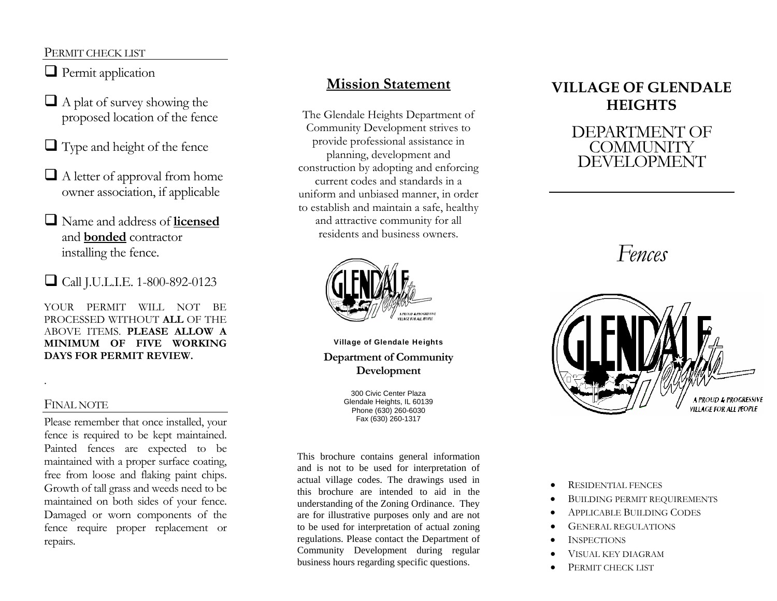#### PERMIT CHECK LIST

- **Permit application**
- $\Box$  A plat of survey showing the proposed location of the fence
- $\Box$  Type and height of the fence
- $\Box$  A letter of approval from home owner association, if applicable
- Name and address of **licensed**  and **bonded** contractor installing the fence.
- Call J.U.L.I.E. 1-800-892-0123

YOUR PERMIT WILL NOT BE PROCESSED WITHOUT **ALL** OF THE ABOVE ITEMS. **PLEASE ALLOW A MINIMUM OF FIVE WORKING DAYS FOR PERMIT REVIEW.**

#### FINAL NOTE

Please remember that once installed, your fence is required to be kept maintained. Painted fences are expected to be maintained with a proper surface coating, free from loose and flaking paint chips. Growth of tall grass and weeds need to be maintained on both sides of your fence. Damaged or worn components of the fence require proper replacement or repairs.

# **Mission Statement**

The Glendale Heights Department of Community Development strives to provide professional assistance in planning, development and construction by adopting and enforcing current codes and standards in a uniform and unbiased manner, in order to establish and maintain a safe, healthy and attractive community for all residents and business owners.



Village of Glendale Heights **Department of Community Development** 

> 300 Civic Center Plaza Glendale Heights, IL 60139 Phone (630) 260-6030 Fax (630) 260-1317

This brochure contains general information and is not to be used for interpretation of actual village codes. The drawings used in this brochure are intended to aid in the understanding of the Zoning Ordinance. They are for illustrative purposes only and are not to be used for interpretation of actual zoning regulations. Please contact the Department of Community Development during regular business hours regarding specific questions.

# **VILLAGE OF GLENDALE HEIGHTS**

## DEPARTMENT OF **COMMUNITY** DEVELOPMENT

# *Fences*



- •RESIDENTIAL FENCES
- •BUILDING PERMIT REQUIREMENTS
- •APPLICABLE BUILDING CODES
- •GENERAL REGULATIONS
- •**INSPECTIONS**
- •VISUAL KEY DIAGRAM
- •PERMIT CHECK LIST